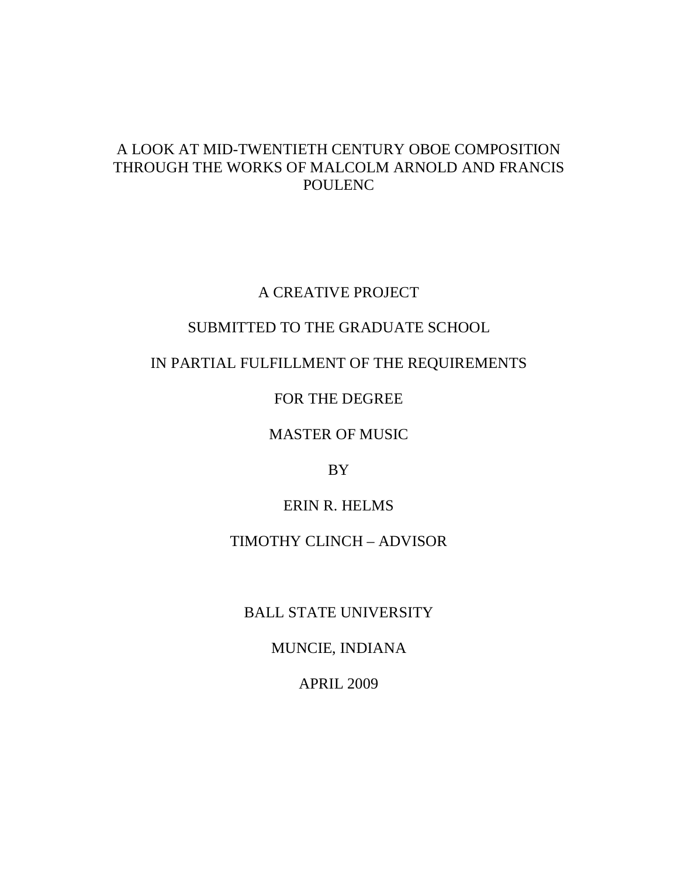# A LOOK AT MID-TWENTIETH CENTURY OBOE COMPOSITION THROUGH THE WORKS OF MALCOLM ARNOLD AND FRANCIS POULENC

# A CREATIVE PROJECT

# SUBMITTED TO THE GRADUATE SCHOOL

# IN PARTIAL FULFILLMENT OF THE REQUIREMENTS

## FOR THE DEGREE

### MASTER OF MUSIC

# BY

## ERIN R. HELMS

## TIMOTHY CLINCH – ADVISOR

# BALL STATE UNIVERSITY

# MUNCIE, INDIANA

# APRIL 2009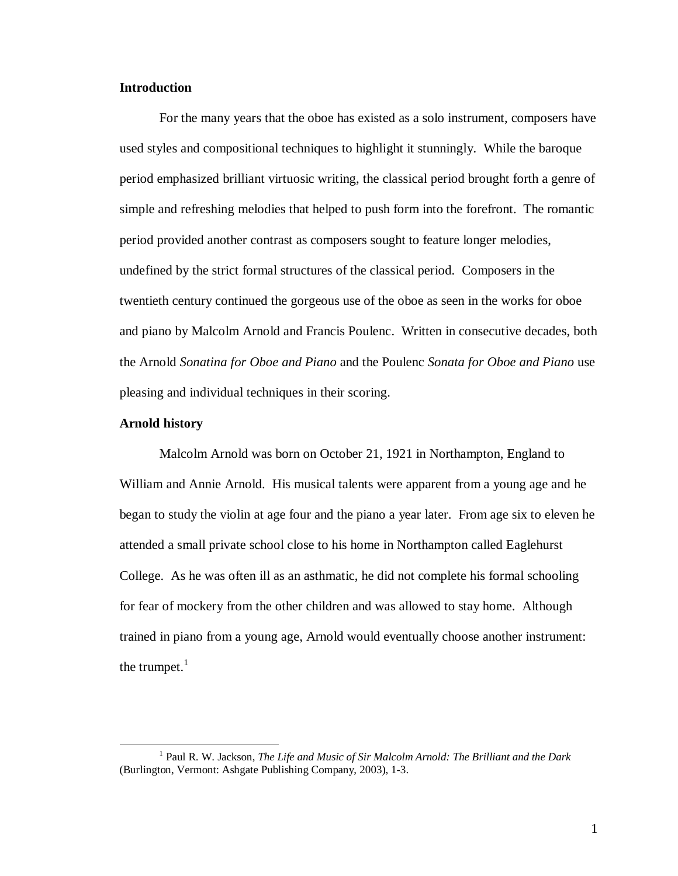### **Introduction**

 For the many years that the oboe has existed as a solo instrument, composers have used styles and compositional techniques to highlight it stunningly. While the baroque period emphasized brilliant virtuosic writing, the classical period brought forth a genre of simple and refreshing melodies that helped to push form into the forefront. The romantic period provided another contrast as composers sought to feature longer melodies, undefined by the strict formal structures of the classical period. Composers in the twentieth century continued the gorgeous use of the oboe as seen in the works for oboe and piano by Malcolm Arnold and Francis Poulenc. Written in consecutive decades, both the Arnold *Sonatina for Oboe and Piano* and the Poulenc *Sonata for Oboe and Piano* use pleasing and individual techniques in their scoring.

### **Arnold history**

<u>.</u>

 Malcolm Arnold was born on October 21, 1921 in Northampton, England to William and Annie Arnold. His musical talents were apparent from a young age and he began to study the violin at age four and the piano a year later. From age six to eleven he attended a small private school close to his home in Northampton called Eaglehurst College. As he was often ill as an asthmatic, he did not complete his formal schooling for fear of mockery from the other children and was allowed to stay home. Although trained in piano from a young age, Arnold would eventually choose another instrument: the trumpet. $<sup>1</sup>$ </sup>

<sup>&</sup>lt;sup>1</sup> Paul R. W. Jackson, *The Life and Music of Sir Malcolm Arnold: The Brilliant and the Dark* (Burlington, Vermont: Ashgate Publishing Company, 2003), 1-3.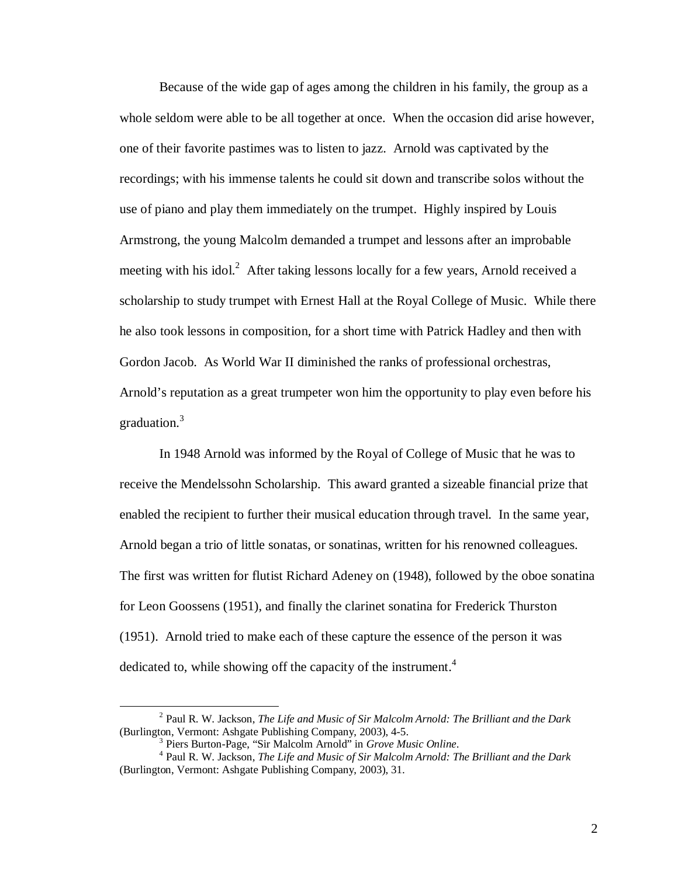Because of the wide gap of ages among the children in his family, the group as a whole seldom were able to be all together at once. When the occasion did arise however, one of their favorite pastimes was to listen to jazz. Arnold was captivated by the recordings; with his immense talents he could sit down and transcribe solos without the use of piano and play them immediately on the trumpet. Highly inspired by Louis Armstrong, the young Malcolm demanded a trumpet and lessons after an improbable meeting with his idol.<sup>2</sup> After taking lessons locally for a few years, Arnold received a scholarship to study trumpet with Ernest Hall at the Royal College of Music. While there he also took lessons in composition, for a short time with Patrick Hadley and then with Gordon Jacob. As World War II diminished the ranks of professional orchestras, Arnold's reputation as a great trumpeter won him the opportunity to play even before his graduation.<sup>3</sup>

 In 1948 Arnold was informed by the Royal of College of Music that he was to receive the Mendelssohn Scholarship. This award granted a sizeable financial prize that enabled the recipient to further their musical education through travel. In the same year, Arnold began a trio of little sonatas, or sonatinas, written for his renowned colleagues. The first was written for flutist Richard Adeney on (1948), followed by the oboe sonatina for Leon Goossens (1951), and finally the clarinet sonatina for Frederick Thurston (1951). Arnold tried to make each of these capture the essence of the person it was dedicated to, while showing off the capacity of the instrument.<sup>4</sup>

<u>.</u>

<sup>2</sup> Paul R. W. Jackson, *The Life and Music of Sir Malcolm Arnold: The Brilliant and the Dark* (Burlington, Vermont: Ashgate Publishing Company, 2003), 4-5.

<sup>3</sup> Piers Burton-Page, "Sir Malcolm Arnold" in *Grove Music Online*.

<sup>4</sup> Paul R. W. Jackson, *The Life and Music of Sir Malcolm Arnold: The Brilliant and the Dark* (Burlington, Vermont: Ashgate Publishing Company, 2003), 31.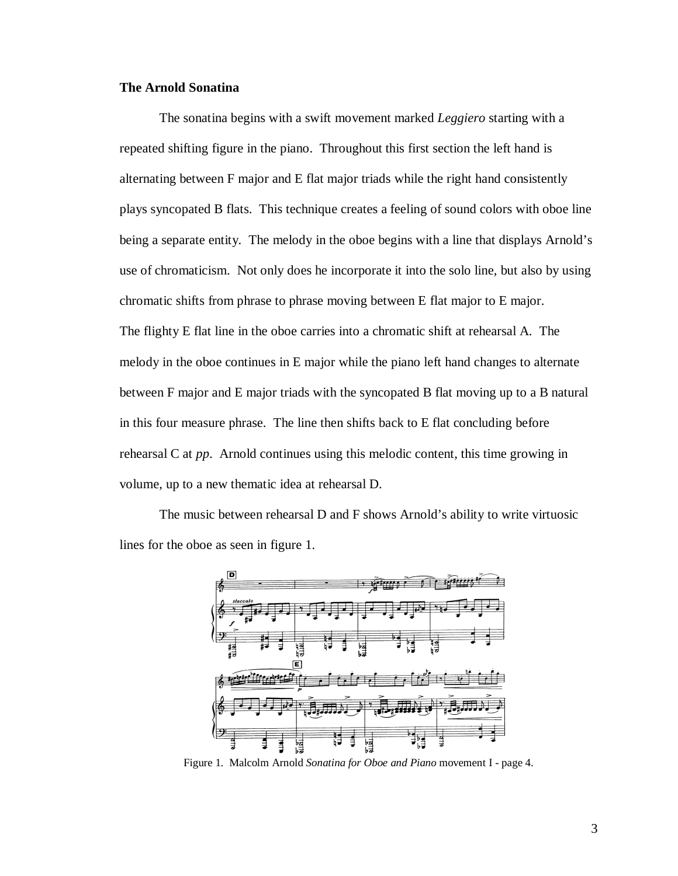### **The Arnold Sonatina**

 The sonatina begins with a swift movement marked *Leggiero* starting with a repeated shifting figure in the piano. Throughout this first section the left hand is alternating between F major and E flat major triads while the right hand consistently plays syncopated B flats. This technique creates a feeling of sound colors with oboe line being a separate entity. The melody in the oboe begins with a line that displays Arnold's use of chromaticism. Not only does he incorporate it into the solo line, but also by using chromatic shifts from phrase to phrase moving between E flat major to E major. The flighty E flat line in the oboe carries into a chromatic shift at rehearsal A. The melody in the oboe continues in E major while the piano left hand changes to alternate between F major and E major triads with the syncopated B flat moving up to a B natural in this four measure phrase. The line then shifts back to E flat concluding before rehearsal C at *pp*. Arnold continues using this melodic content, this time growing in volume, up to a new thematic idea at rehearsal D.

 The music between rehearsal D and F shows Arnold's ability to write virtuosic lines for the oboe as seen in figure 1.



Figure 1. Malcolm Arnold *Sonatina for Oboe and Piano* movement I - page 4.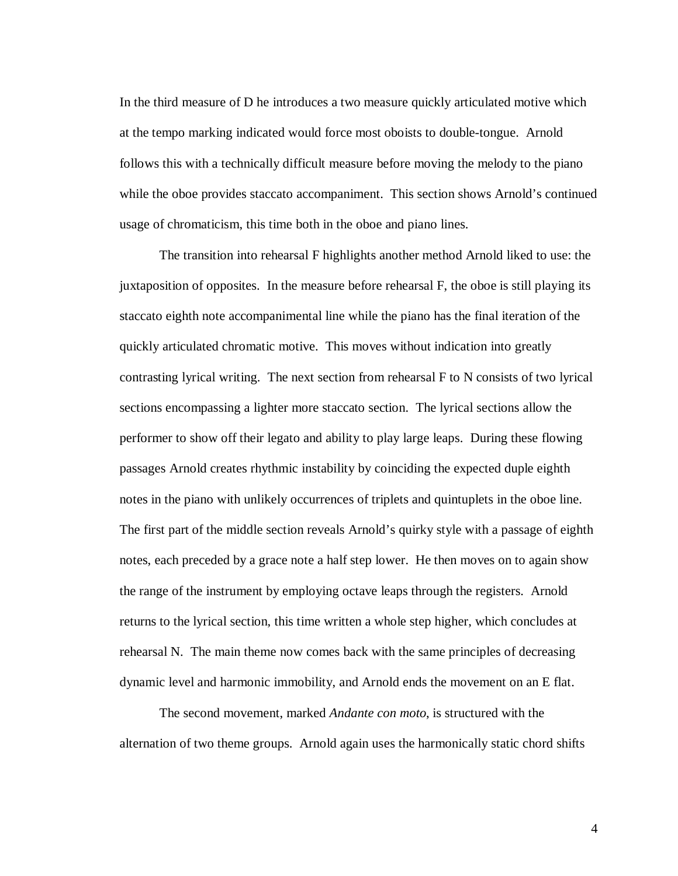In the third measure of D he introduces a two measure quickly articulated motive which at the tempo marking indicated would force most oboists to double-tongue. Arnold follows this with a technically difficult measure before moving the melody to the piano while the oboe provides staccato accompaniment. This section shows Arnold's continued usage of chromaticism, this time both in the oboe and piano lines.

 The transition into rehearsal F highlights another method Arnold liked to use: the juxtaposition of opposites. In the measure before rehearsal F, the oboe is still playing its staccato eighth note accompanimental line while the piano has the final iteration of the quickly articulated chromatic motive. This moves without indication into greatly contrasting lyrical writing. The next section from rehearsal F to N consists of two lyrical sections encompassing a lighter more staccato section. The lyrical sections allow the performer to show off their legato and ability to play large leaps. During these flowing passages Arnold creates rhythmic instability by coinciding the expected duple eighth notes in the piano with unlikely occurrences of triplets and quintuplets in the oboe line. The first part of the middle section reveals Arnold's quirky style with a passage of eighth notes, each preceded by a grace note a half step lower. He then moves on to again show the range of the instrument by employing octave leaps through the registers. Arnold returns to the lyrical section, this time written a whole step higher, which concludes at rehearsal N. The main theme now comes back with the same principles of decreasing dynamic level and harmonic immobility, and Arnold ends the movement on an E flat.

 The second movement, marked *Andante con moto*, is structured with the alternation of two theme groups. Arnold again uses the harmonically static chord shifts

4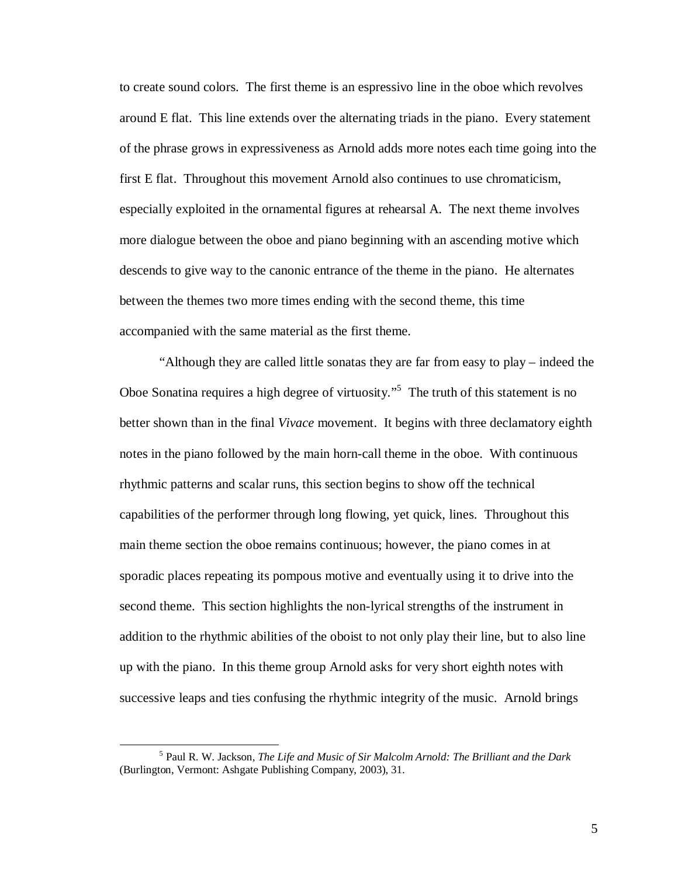to create sound colors. The first theme is an espressivo line in the oboe which revolves around E flat. This line extends over the alternating triads in the piano. Every statement of the phrase grows in expressiveness as Arnold adds more notes each time going into the first E flat. Throughout this movement Arnold also continues to use chromaticism, especially exploited in the ornamental figures at rehearsal A. The next theme involves more dialogue between the oboe and piano beginning with an ascending motive which descends to give way to the canonic entrance of the theme in the piano. He alternates between the themes two more times ending with the second theme, this time accompanied with the same material as the first theme.

 "Although they are called little sonatas they are far from easy to play – indeed the Oboe Sonatina requires a high degree of virtuosity."<sup>5</sup> The truth of this statement is no better shown than in the final *Vivace* movement. It begins with three declamatory eighth notes in the piano followed by the main horn-call theme in the oboe. With continuous rhythmic patterns and scalar runs, this section begins to show off the technical capabilities of the performer through long flowing, yet quick, lines. Throughout this main theme section the oboe remains continuous; however, the piano comes in at sporadic places repeating its pompous motive and eventually using it to drive into the second theme. This section highlights the non-lyrical strengths of the instrument in addition to the rhythmic abilities of the oboist to not only play their line, but to also line up with the piano. In this theme group Arnold asks for very short eighth notes with successive leaps and ties confusing the rhythmic integrity of the music. Arnold brings

<u>.</u>

<sup>5</sup> Paul R. W. Jackson, *The Life and Music of Sir Malcolm Arnold: The Brilliant and the Dark* (Burlington, Vermont: Ashgate Publishing Company, 2003), 31.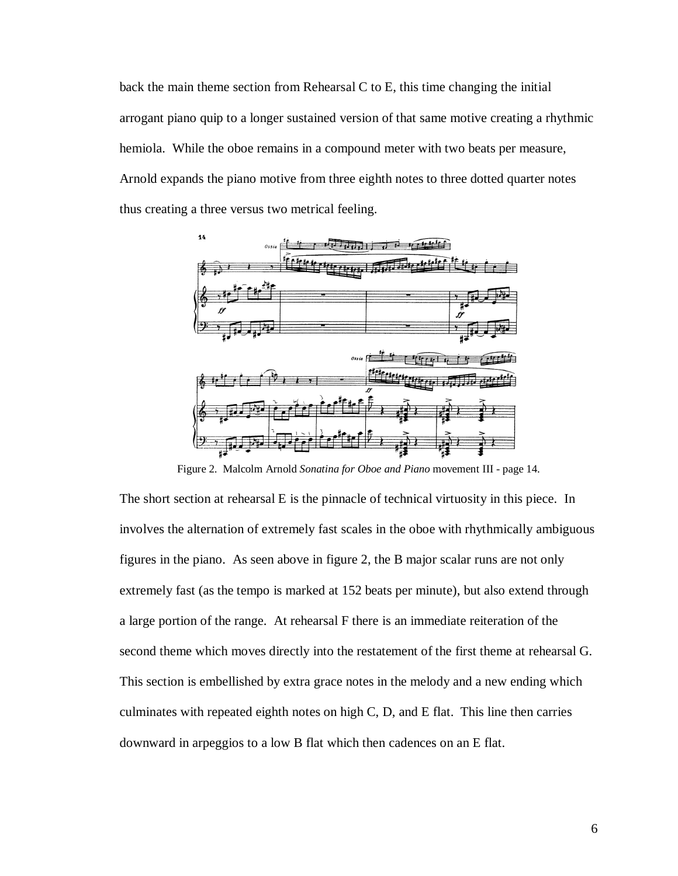back the main theme section from Rehearsal C to E, this time changing the initial arrogant piano quip to a longer sustained version of that same motive creating a rhythmic hemiola. While the oboe remains in a compound meter with two beats per measure, Arnold expands the piano motive from three eighth notes to three dotted quarter notes thus creating a three versus two metrical feeling.



Figure 2. Malcolm Arnold *Sonatina for Oboe and Piano* movement III - page 14.

The short section at rehearsal E is the pinnacle of technical virtuosity in this piece. In involves the alternation of extremely fast scales in the oboe with rhythmically ambiguous figures in the piano. As seen above in figure 2, the B major scalar runs are not only extremely fast (as the tempo is marked at 152 beats per minute), but also extend through a large portion of the range. At rehearsal F there is an immediate reiteration of the second theme which moves directly into the restatement of the first theme at rehearsal G. This section is embellished by extra grace notes in the melody and a new ending which culminates with repeated eighth notes on high C, D, and E flat. This line then carries downward in arpeggios to a low B flat which then cadences on an E flat.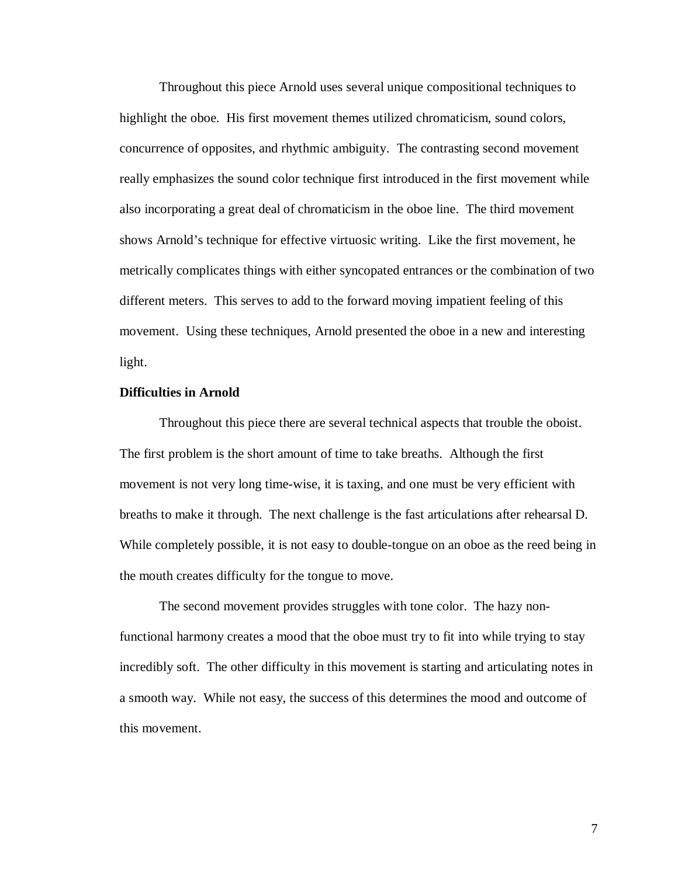Throughout this piece Arnold uses several unique compositional techniques to highlight the oboe. His first movement themes utilized chromaticism, sound colors, concurrence of opposites, and rhythmic ambiguity. The contrasting second movement really emphasizes the sound color technique first introduced in the first movement while also incorporating a great deal of chromaticism in the oboe line. The third movement shows Arnold's technique for effective virtuosic writing. Like the first movement, he metrically complicates things with either syncopated entrances or the combination of two different meters. This serves to add to the forward moving impatient feeling of this movement. Using these techniques, Arnold presented the oboe in a new and interesting light.

#### **Difficulties in Arnold**

 Throughout this piece there are several technical aspects that trouble the oboist. The first problem is the short amount of time to take breaths. Although the first movement is not very long time-wise, it is taxing, and one must be very efficient with breaths to make it through. The next challenge is the fast articulations after rehearsal D. While completely possible, it is not easy to double-tongue on an oboe as the reed being in the mouth creates difficulty for the tongue to move.

 The second movement provides struggles with tone color. The hazy nonfunctional harmony creates a mood that the oboe must try to fit into while trying to stay incredibly soft. The other difficulty in this movement is starting and articulating notes in a smooth way. While not easy, the success of this determines the mood and outcome of this movement.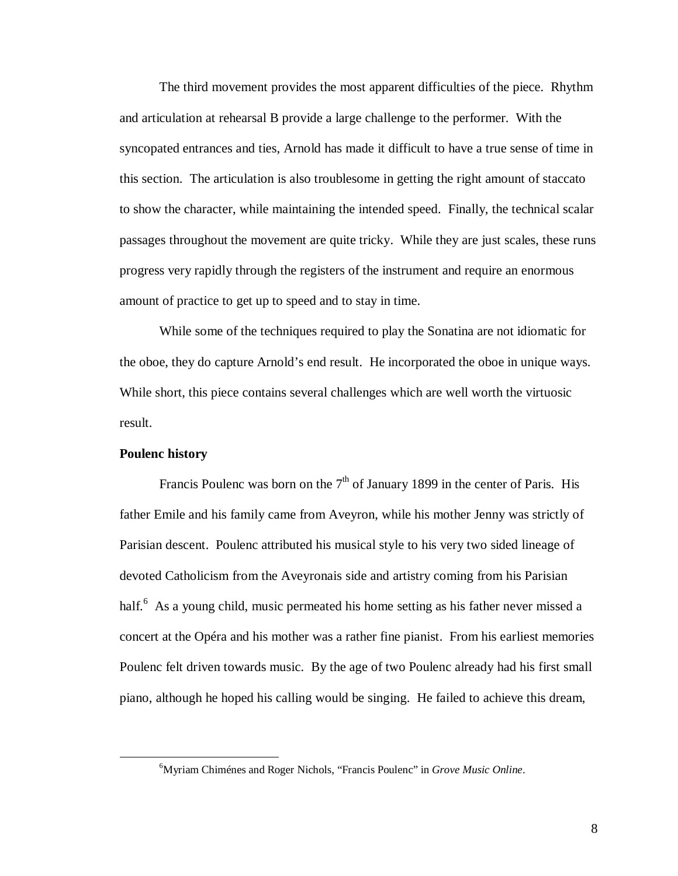The third movement provides the most apparent difficulties of the piece. Rhythm and articulation at rehearsal B provide a large challenge to the performer. With the syncopated entrances and ties, Arnold has made it difficult to have a true sense of time in this section. The articulation is also troublesome in getting the right amount of staccato to show the character, while maintaining the intended speed. Finally, the technical scalar passages throughout the movement are quite tricky. While they are just scales, these runs progress very rapidly through the registers of the instrument and require an enormous amount of practice to get up to speed and to stay in time.

 While some of the techniques required to play the Sonatina are not idiomatic for the oboe, they do capture Arnold's end result. He incorporated the oboe in unique ways. While short, this piece contains several challenges which are well worth the virtuosic result.

### **Poulenc history**

<u>.</u>

Francis Poulenc was born on the  $7<sup>th</sup>$  of January 1899 in the center of Paris. His father Emile and his family came from Aveyron, while his mother Jenny was strictly of Parisian descent. Poulenc attributed his musical style to his very two sided lineage of devoted Catholicism from the Aveyronais side and artistry coming from his Parisian half.<sup>6</sup> As a young child, music permeated his home setting as his father never missed a concert at the Opéra and his mother was a rather fine pianist. From his earliest memories Poulenc felt driven towards music. By the age of two Poulenc already had his first small piano, although he hoped his calling would be singing. He failed to achieve this dream,

<sup>6</sup>Myriam Chiménes and Roger Nichols, "Francis Poulenc" in *Grove Music Online*.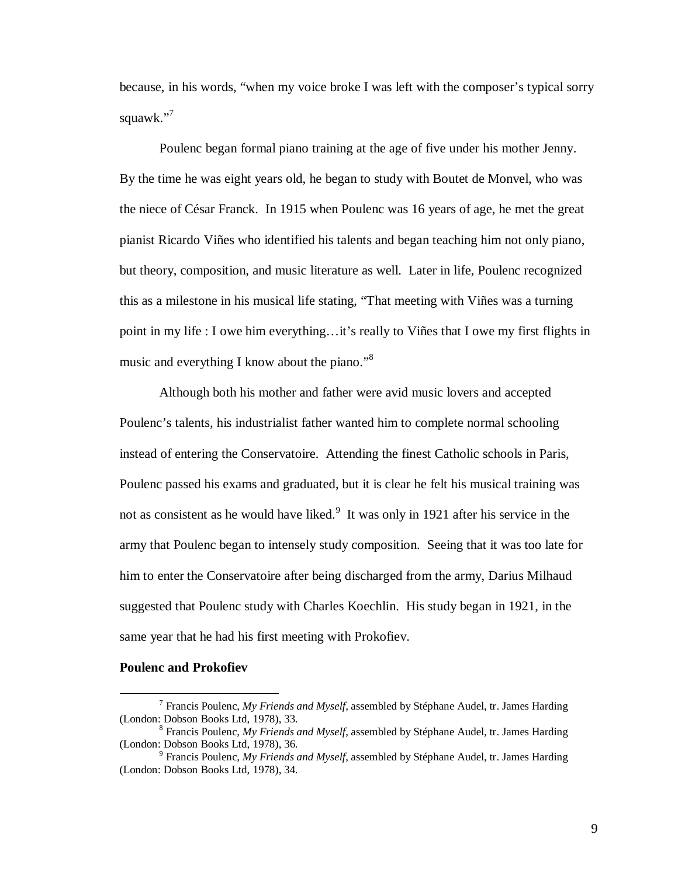because, in his words, "when my voice broke I was left with the composer's typical sorry squawk."<sup>7</sup>

 Poulenc began formal piano training at the age of five under his mother Jenny. By the time he was eight years old, he began to study with Boutet de Monvel, who was the niece of César Franck. In 1915 when Poulenc was 16 years of age, he met the great pianist Ricardo Viñes who identified his talents and began teaching him not only piano, but theory, composition, and music literature as well. Later in life, Poulenc recognized this as a milestone in his musical life stating, "That meeting with Viñes was a turning point in my life : I owe him everything…it's really to Viñes that I owe my first flights in music and everything I know about the piano."<sup>8</sup>

 Although both his mother and father were avid music lovers and accepted Poulenc's talents, his industrialist father wanted him to complete normal schooling instead of entering the Conservatoire. Attending the finest Catholic schools in Paris, Poulenc passed his exams and graduated, but it is clear he felt his musical training was not as consistent as he would have liked. $9$  It was only in 1921 after his service in the army that Poulenc began to intensely study composition. Seeing that it was too late for him to enter the Conservatoire after being discharged from the army, Darius Milhaud suggested that Poulenc study with Charles Koechlin. His study began in 1921, in the same year that he had his first meeting with Prokofiev.

#### **Poulenc and Prokofiev**

-

<sup>7</sup> Francis Poulenc, *My Friends and Myself*, assembled by Stéphane Audel, tr. James Harding (London: Dobson Books Ltd, 1978), 33.

<sup>8</sup> Francis Poulenc, *My Friends and Myself*, assembled by Stéphane Audel, tr. James Harding (London: Dobson Books Ltd, 1978), 36.

<sup>9</sup> Francis Poulenc, *My Friends and Myself*, assembled by Stéphane Audel, tr. James Harding (London: Dobson Books Ltd, 1978), 34.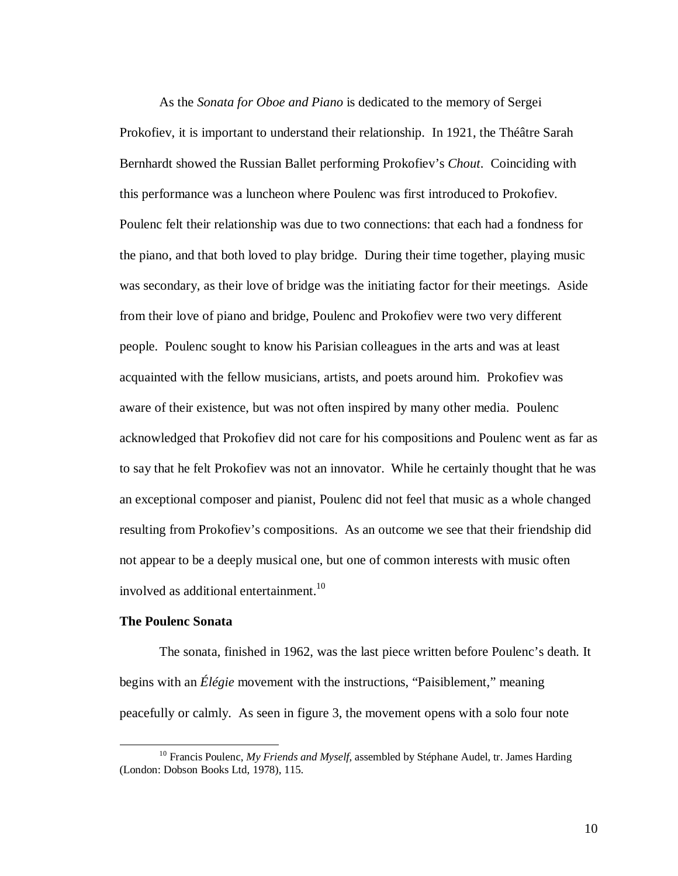As the *Sonata for Oboe and Piano* is dedicated to the memory of Sergei Prokofiev, it is important to understand their relationship. In 1921, the Théâtre Sarah Bernhardt showed the Russian Ballet performing Prokofiev's *Chout*. Coinciding with this performance was a luncheon where Poulenc was first introduced to Prokofiev. Poulenc felt their relationship was due to two connections: that each had a fondness for the piano, and that both loved to play bridge. During their time together, playing music was secondary, as their love of bridge was the initiating factor for their meetings. Aside from their love of piano and bridge, Poulenc and Prokofiev were two very different people. Poulenc sought to know his Parisian colleagues in the arts and was at least acquainted with the fellow musicians, artists, and poets around him. Prokofiev was aware of their existence, but was not often inspired by many other media. Poulenc acknowledged that Prokofiev did not care for his compositions and Poulenc went as far as to say that he felt Prokofiev was not an innovator. While he certainly thought that he was an exceptional composer and pianist, Poulenc did not feel that music as a whole changed resulting from Prokofiev's compositions. As an outcome we see that their friendship did not appear to be a deeply musical one, but one of common interests with music often involved as additional entertainment.<sup>10</sup>

#### **The Poulenc Sonata**

<u>.</u>

 The sonata, finished in 1962, was the last piece written before Poulenc's death. It begins with an *Élégie* movement with the instructions, "Paisiblement," meaning peacefully or calmly. As seen in figure 3, the movement opens with a solo four note

<sup>&</sup>lt;sup>10</sup> Francis Poulenc, *My Friends and Myself*, assembled by Stéphane Audel, tr. James Harding (London: Dobson Books Ltd, 1978), 115.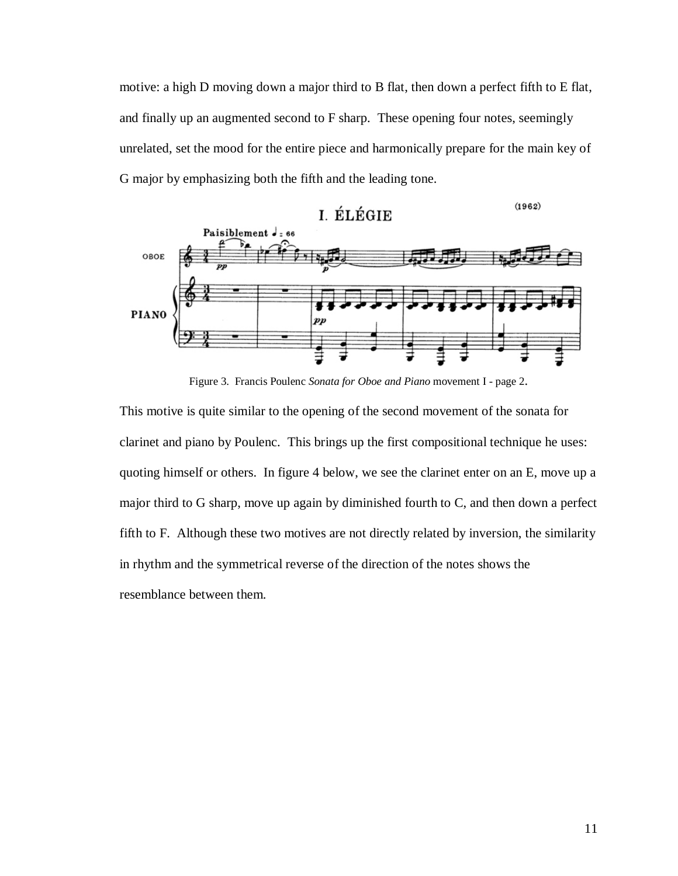motive: a high D moving down a major third to B flat, then down a perfect fifth to E flat, and finally up an augmented second to F sharp. These opening four notes, seemingly unrelated, set the mood for the entire piece and harmonically prepare for the main key of G major by emphasizing both the fifth and the leading tone.



Figure 3. Francis Poulenc *Sonata for Oboe and Piano* movement I - page 2.

This motive is quite similar to the opening of the second movement of the sonata for clarinet and piano by Poulenc. This brings up the first compositional technique he uses: quoting himself or others. In figure 4 below, we see the clarinet enter on an E, move up a major third to G sharp, move up again by diminished fourth to C, and then down a perfect fifth to F. Although these two motives are not directly related by inversion, the similarity in rhythm and the symmetrical reverse of the direction of the notes shows the resemblance between them.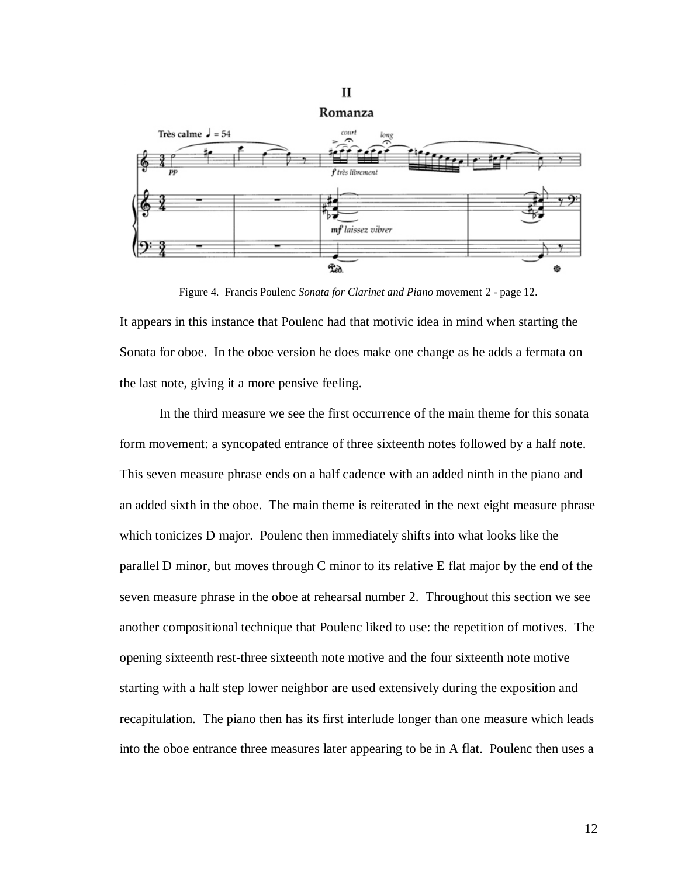

Figure 4. Francis Poulenc *Sonata for Clarinet and Piano* movement 2 - page 12.

It appears in this instance that Poulenc had that motivic idea in mind when starting the Sonata for oboe. In the oboe version he does make one change as he adds a fermata on the last note, giving it a more pensive feeling.

 In the third measure we see the first occurrence of the main theme for this sonata form movement: a syncopated entrance of three sixteenth notes followed by a half note. This seven measure phrase ends on a half cadence with an added ninth in the piano and an added sixth in the oboe. The main theme is reiterated in the next eight measure phrase which tonicizes D major. Poulenc then immediately shifts into what looks like the parallel D minor, but moves through C minor to its relative E flat major by the end of the seven measure phrase in the oboe at rehearsal number 2. Throughout this section we see another compositional technique that Poulenc liked to use: the repetition of motives. The opening sixteenth rest-three sixteenth note motive and the four sixteenth note motive starting with a half step lower neighbor are used extensively during the exposition and recapitulation. The piano then has its first interlude longer than one measure which leads into the oboe entrance three measures later appearing to be in A flat. Poulenc then uses a

### $\mathbf{I}$

12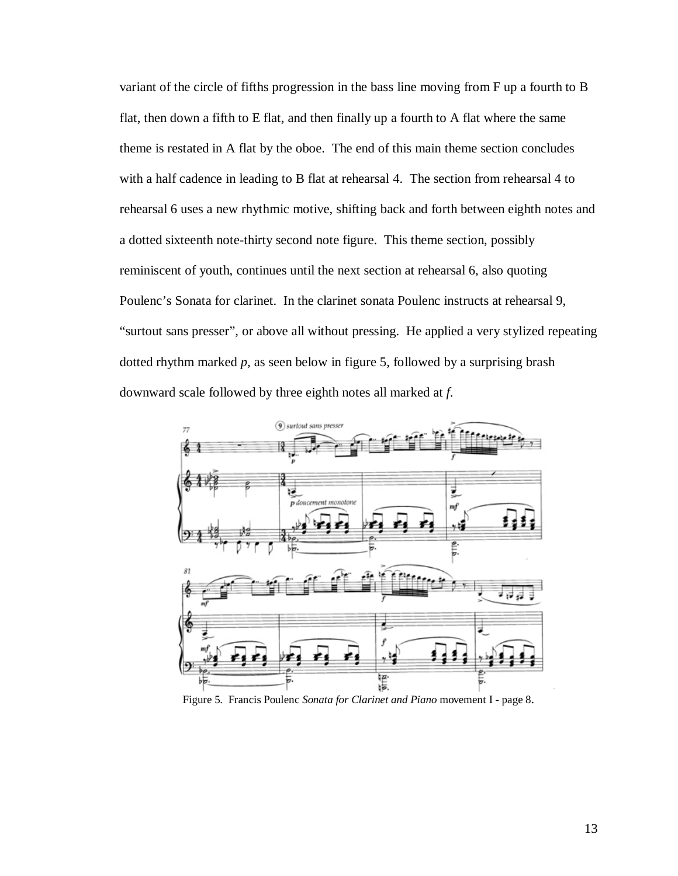variant of the circle of fifths progression in the bass line moving from F up a fourth to B flat, then down a fifth to E flat, and then finally up a fourth to A flat where the same theme is restated in A flat by the oboe. The end of this main theme section concludes with a half cadence in leading to B flat at rehearsal 4. The section from rehearsal 4 to rehearsal 6 uses a new rhythmic motive, shifting back and forth between eighth notes and a dotted sixteenth note-thirty second note figure. This theme section, possibly reminiscent of youth, continues until the next section at rehearsal 6, also quoting Poulenc's Sonata for clarinet. In the clarinet sonata Poulenc instructs at rehearsal 9, "surtout sans presser", or above all without pressing. He applied a very stylized repeating dotted rhythm marked *p*, as seen below in figure 5, followed by a surprising brash downward scale followed by three eighth notes all marked at *f*.



Figure 5. Francis Poulenc *Sonata for Clarinet and Piano* movement I - page 8.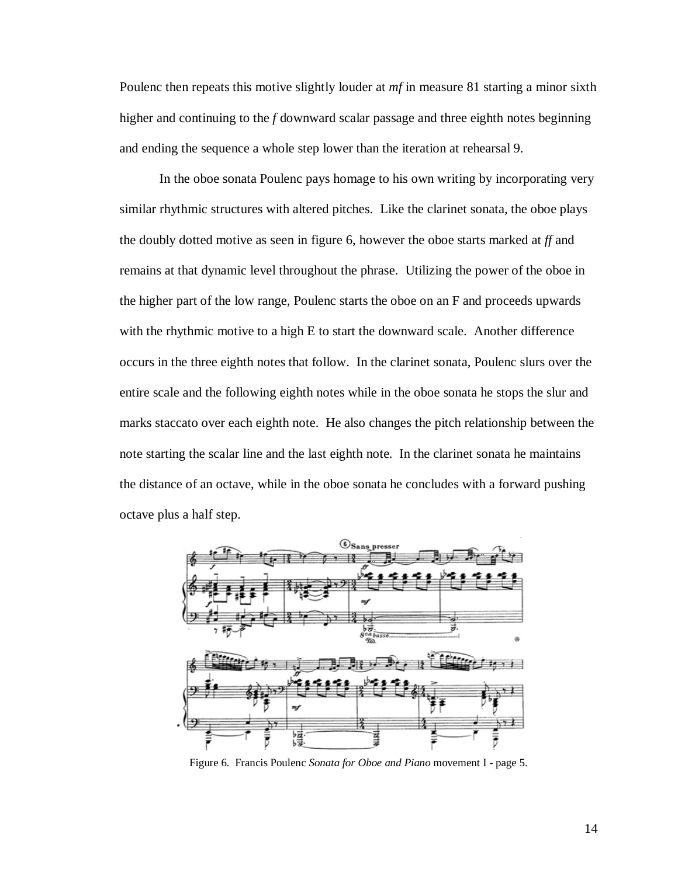Poulenc then repeats this motive slightly louder at *mf* in measure 81 starting a minor sixth higher and continuing to the *f* downward scalar passage and three eighth notes beginning and ending the sequence a whole step lower than the iteration at rehearsal 9.

 In the oboe sonata Poulenc pays homage to his own writing by incorporating very similar rhythmic structures with altered pitches. Like the clarinet sonata, the oboe plays the doubly dotted motive as seen in figure 6, however the oboe starts marked at *ff* and remains at that dynamic level throughout the phrase. Utilizing the power of the oboe in the higher part of the low range, Poulenc starts the oboe on an F and proceeds upwards with the rhythmic motive to a high E to start the downward scale. Another difference occurs in the three eighth notes that follow. In the clarinet sonata, Poulenc slurs over the entire scale and the following eighth notes while in the oboe sonata he stops the slur and marks staccato over each eighth note. He also changes the pitch relationship between the note starting the scalar line and the last eighth note. In the clarinet sonata he maintains the distance of an octave, while in the oboe sonata he concludes with a forward pushing octave plus a half step.



Figure 6. Francis Poulenc *Sonata for Oboe and Piano* movement I - page 5.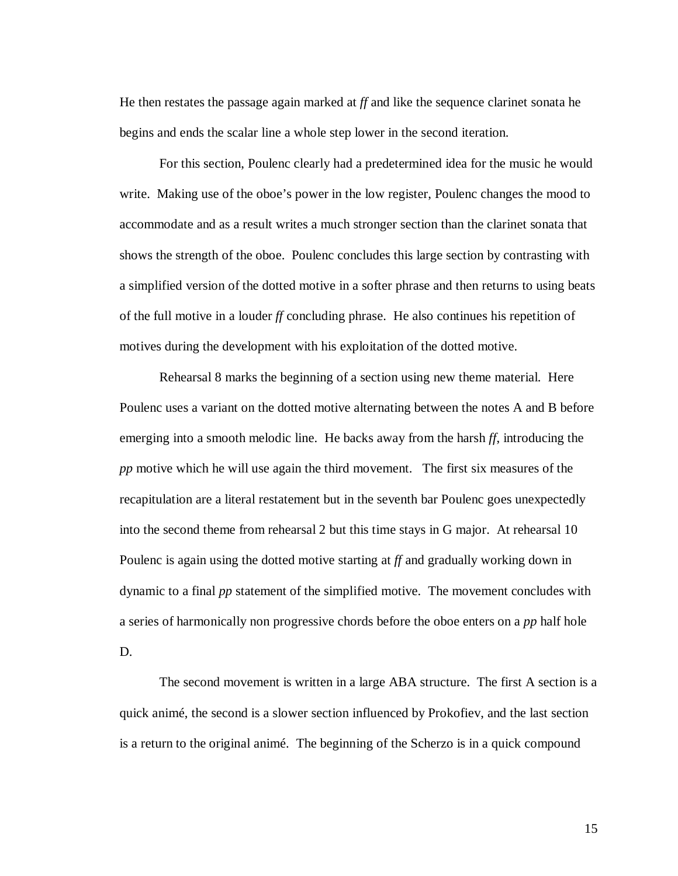He then restates the passage again marked at *ff* and like the sequence clarinet sonata he begins and ends the scalar line a whole step lower in the second iteration.

 For this section, Poulenc clearly had a predetermined idea for the music he would write. Making use of the oboe's power in the low register, Poulenc changes the mood to accommodate and as a result writes a much stronger section than the clarinet sonata that shows the strength of the oboe. Poulenc concludes this large section by contrasting with a simplified version of the dotted motive in a softer phrase and then returns to using beats of the full motive in a louder *ff* concluding phrase. He also continues his repetition of motives during the development with his exploitation of the dotted motive.

 Rehearsal 8 marks the beginning of a section using new theme material. Here Poulenc uses a variant on the dotted motive alternating between the notes A and B before emerging into a smooth melodic line. He backs away from the harsh *ff*, introducing the *pp* motive which he will use again the third movement. The first six measures of the recapitulation are a literal restatement but in the seventh bar Poulenc goes unexpectedly into the second theme from rehearsal 2 but this time stays in G major. At rehearsal 10 Poulenc is again using the dotted motive starting at *ff* and gradually working down in dynamic to a final *pp* statement of the simplified motive. The movement concludes with a series of harmonically non progressive chords before the oboe enters on a *pp* half hole D.

 The second movement is written in a large ABA structure. The first A section is a quick animé, the second is a slower section influenced by Prokofiev, and the last section is a return to the original animé. The beginning of the Scherzo is in a quick compound

15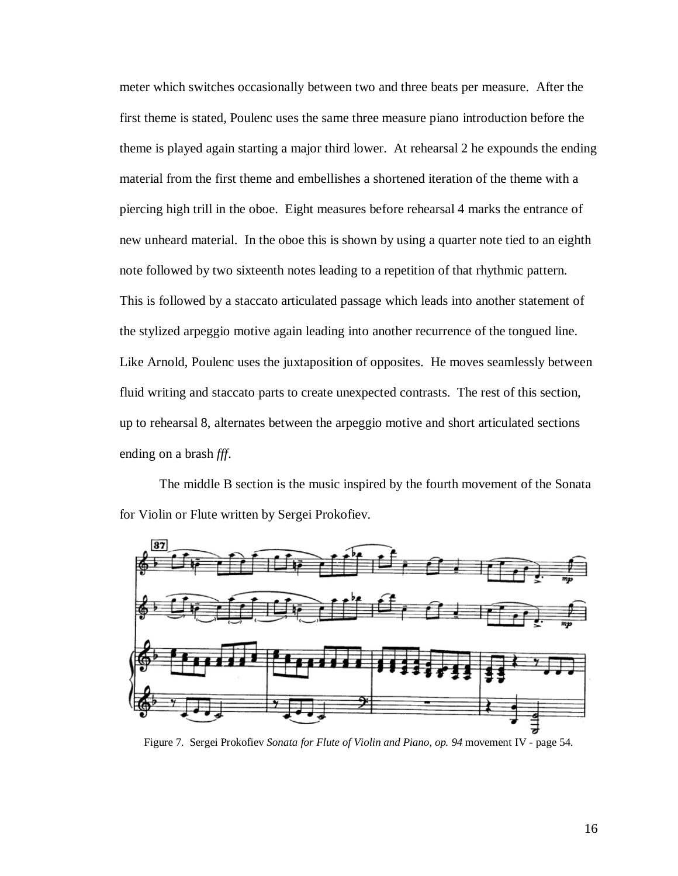meter which switches occasionally between two and three beats per measure. After the first theme is stated, Poulenc uses the same three measure piano introduction before the theme is played again starting a major third lower. At rehearsal 2 he expounds the ending material from the first theme and embellishes a shortened iteration of the theme with a piercing high trill in the oboe. Eight measures before rehearsal 4 marks the entrance of new unheard material. In the oboe this is shown by using a quarter note tied to an eighth note followed by two sixteenth notes leading to a repetition of that rhythmic pattern. This is followed by a staccato articulated passage which leads into another statement of the stylized arpeggio motive again leading into another recurrence of the tongued line. Like Arnold, Poulenc uses the juxtaposition of opposites. He moves seamlessly between fluid writing and staccato parts to create unexpected contrasts. The rest of this section, up to rehearsal 8, alternates between the arpeggio motive and short articulated sections ending on a brash *fff*.

 The middle B section is the music inspired by the fourth movement of the Sonata for Violin or Flute written by Sergei Prokofiev.



Figure 7. Sergei Prokofiev *Sonata for Flute of Violin and Piano, op. 94* movement IV - page 54.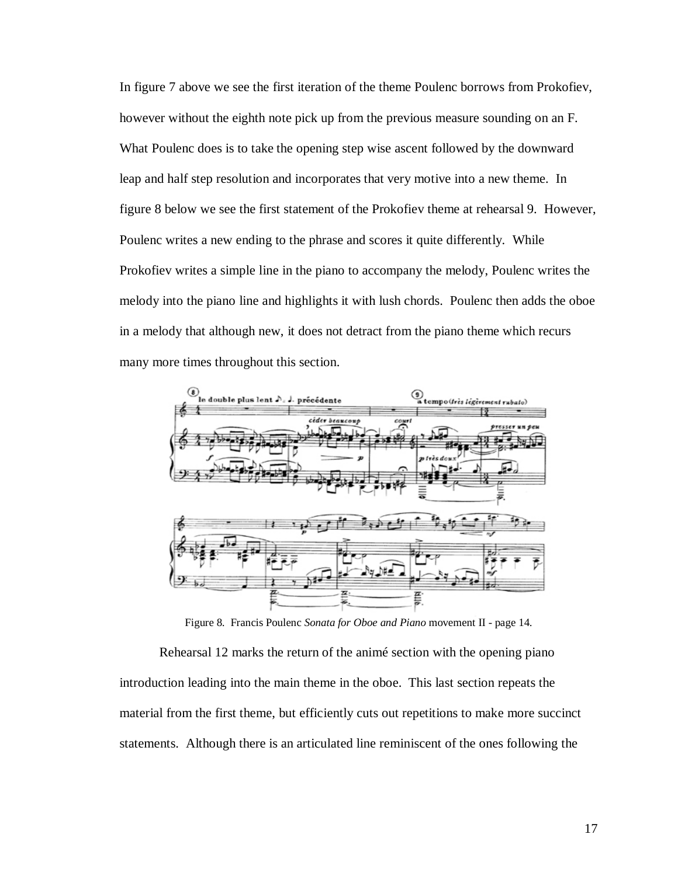In figure 7 above we see the first iteration of the theme Poulenc borrows from Prokofiev, however without the eighth note pick up from the previous measure sounding on an F. What Poulenc does is to take the opening step wise ascent followed by the downward leap and half step resolution and incorporates that very motive into a new theme. In figure 8 below we see the first statement of the Prokofiev theme at rehearsal 9. However, Poulenc writes a new ending to the phrase and scores it quite differently. While Prokofiev writes a simple line in the piano to accompany the melody, Poulenc writes the melody into the piano line and highlights it with lush chords. Poulenc then adds the oboe in a melody that although new, it does not detract from the piano theme which recurs many more times throughout this section.



Figure 8. Francis Poulenc *Sonata for Oboe and Piano* movement II - page 14.

 Rehearsal 12 marks the return of the animé section with the opening piano introduction leading into the main theme in the oboe. This last section repeats the material from the first theme, but efficiently cuts out repetitions to make more succinct statements. Although there is an articulated line reminiscent of the ones following the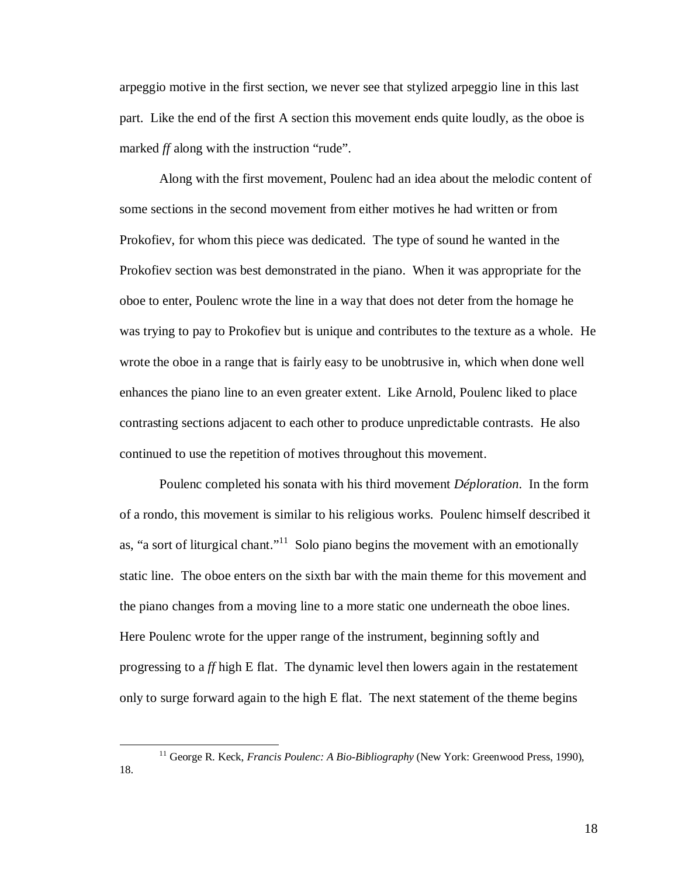arpeggio motive in the first section, we never see that stylized arpeggio line in this last part. Like the end of the first A section this movement ends quite loudly, as the oboe is marked *ff* along with the instruction "rude".

 Along with the first movement, Poulenc had an idea about the melodic content of some sections in the second movement from either motives he had written or from Prokofiev, for whom this piece was dedicated. The type of sound he wanted in the Prokofiev section was best demonstrated in the piano. When it was appropriate for the oboe to enter, Poulenc wrote the line in a way that does not deter from the homage he was trying to pay to Prokofiev but is unique and contributes to the texture as a whole. He wrote the oboe in a range that is fairly easy to be unobtrusive in, which when done well enhances the piano line to an even greater extent. Like Arnold, Poulenc liked to place contrasting sections adjacent to each other to produce unpredictable contrasts. He also continued to use the repetition of motives throughout this movement.

 Poulenc completed his sonata with his third movement *Déploration*. In the form of a rondo, this movement is similar to his religious works. Poulenc himself described it as, "a sort of liturgical chant."<sup>11</sup> Solo piano begins the movement with an emotionally static line. The oboe enters on the sixth bar with the main theme for this movement and the piano changes from a moving line to a more static one underneath the oboe lines. Here Poulenc wrote for the upper range of the instrument, beginning softly and progressing to a *ff* high E flat. The dynamic level then lowers again in the restatement only to surge forward again to the high E flat. The next statement of the theme begins

<u>.</u>

<sup>11</sup> George R. Keck, *Francis Poulenc: A Bio-Bibliography* (New York: Greenwood Press, 1990), 18.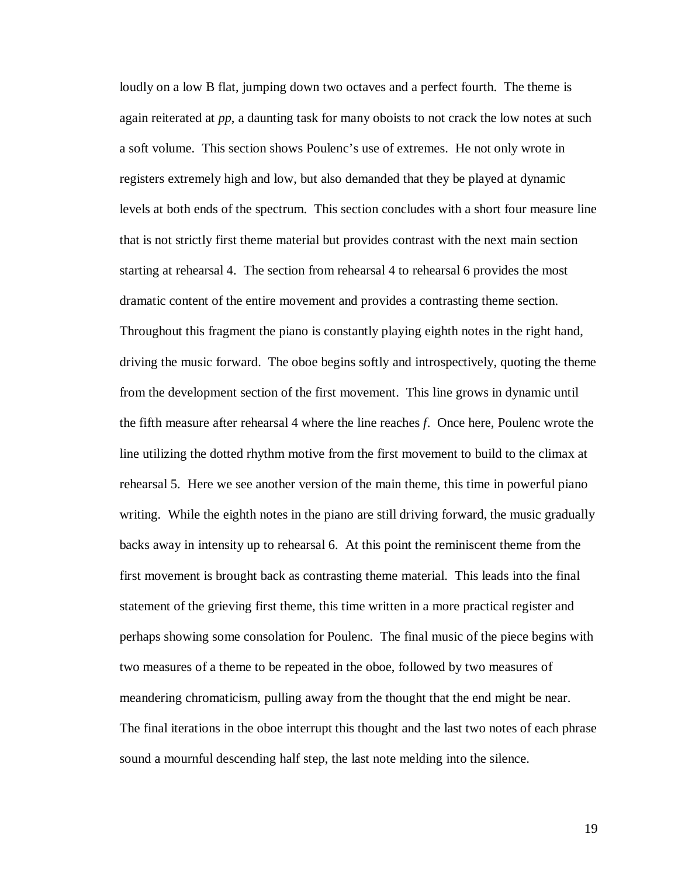loudly on a low B flat, jumping down two octaves and a perfect fourth. The theme is again reiterated at *pp*, a daunting task for many oboists to not crack the low notes at such a soft volume. This section shows Poulenc's use of extremes. He not only wrote in registers extremely high and low, but also demanded that they be played at dynamic levels at both ends of the spectrum. This section concludes with a short four measure line that is not strictly first theme material but provides contrast with the next main section starting at rehearsal 4. The section from rehearsal 4 to rehearsal 6 provides the most dramatic content of the entire movement and provides a contrasting theme section. Throughout this fragment the piano is constantly playing eighth notes in the right hand, driving the music forward. The oboe begins softly and introspectively, quoting the theme from the development section of the first movement. This line grows in dynamic until the fifth measure after rehearsal 4 where the line reaches *f*. Once here, Poulenc wrote the line utilizing the dotted rhythm motive from the first movement to build to the climax at rehearsal 5. Here we see another version of the main theme, this time in powerful piano writing. While the eighth notes in the piano are still driving forward, the music gradually backs away in intensity up to rehearsal 6. At this point the reminiscent theme from the first movement is brought back as contrasting theme material. This leads into the final statement of the grieving first theme, this time written in a more practical register and perhaps showing some consolation for Poulenc. The final music of the piece begins with two measures of a theme to be repeated in the oboe, followed by two measures of meandering chromaticism, pulling away from the thought that the end might be near. The final iterations in the oboe interrupt this thought and the last two notes of each phrase sound a mournful descending half step, the last note melding into the silence.

19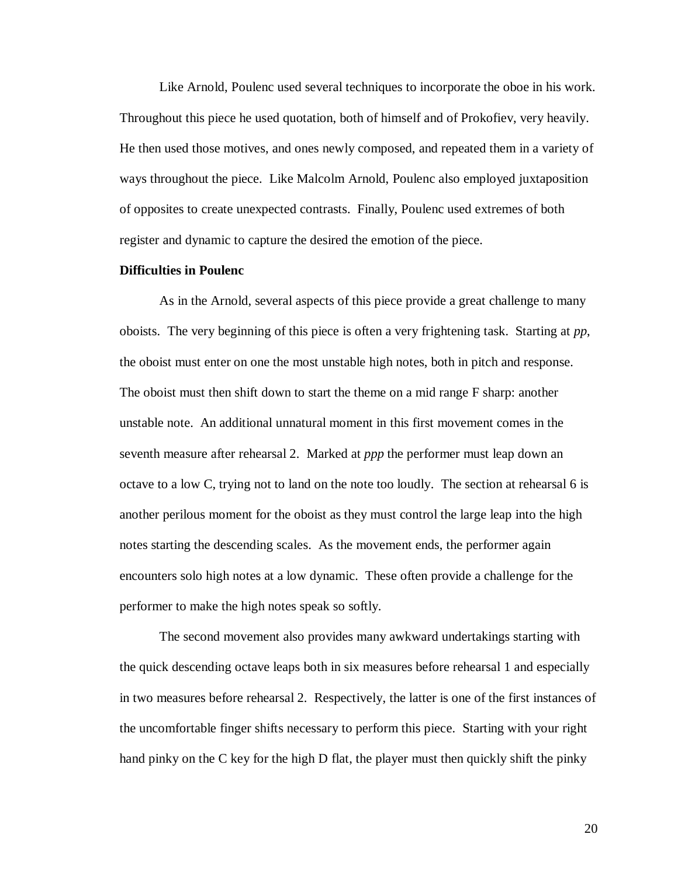Like Arnold, Poulenc used several techniques to incorporate the oboe in his work. Throughout this piece he used quotation, both of himself and of Prokofiev, very heavily. He then used those motives, and ones newly composed, and repeated them in a variety of ways throughout the piece. Like Malcolm Arnold, Poulenc also employed juxtaposition of opposites to create unexpected contrasts. Finally, Poulenc used extremes of both register and dynamic to capture the desired the emotion of the piece.

### **Difficulties in Poulenc**

 As in the Arnold, several aspects of this piece provide a great challenge to many oboists. The very beginning of this piece is often a very frightening task. Starting at *pp*, the oboist must enter on one the most unstable high notes, both in pitch and response. The oboist must then shift down to start the theme on a mid range F sharp: another unstable note. An additional unnatural moment in this first movement comes in the seventh measure after rehearsal 2. Marked at *ppp* the performer must leap down an octave to a low C, trying not to land on the note too loudly. The section at rehearsal 6 is another perilous moment for the oboist as they must control the large leap into the high notes starting the descending scales. As the movement ends, the performer again encounters solo high notes at a low dynamic. These often provide a challenge for the performer to make the high notes speak so softly.

 The second movement also provides many awkward undertakings starting with the quick descending octave leaps both in six measures before rehearsal 1 and especially in two measures before rehearsal 2. Respectively, the latter is one of the first instances of the uncomfortable finger shifts necessary to perform this piece. Starting with your right hand pinky on the C key for the high D flat, the player must then quickly shift the pinky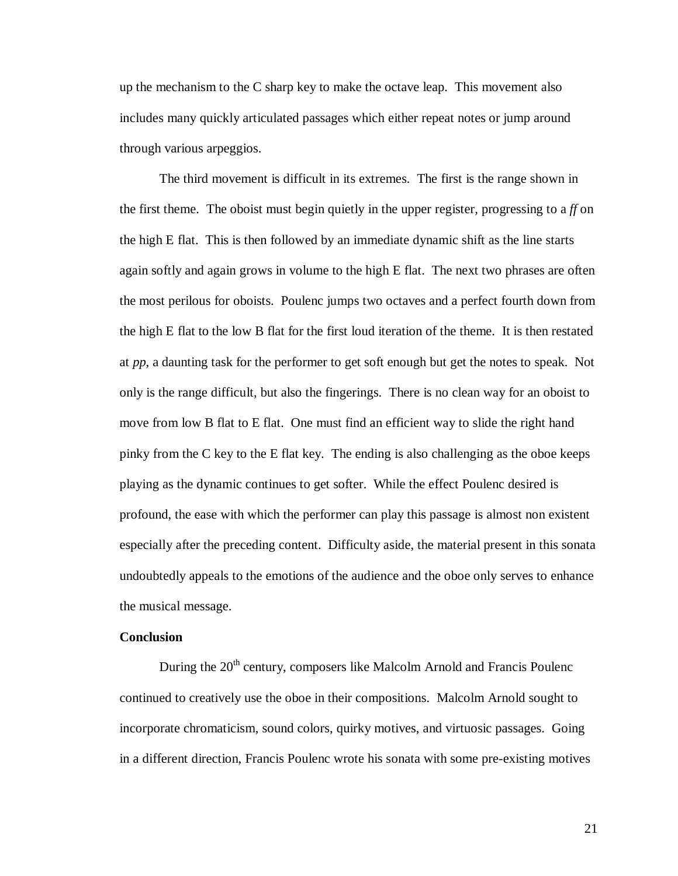up the mechanism to the C sharp key to make the octave leap. This movement also includes many quickly articulated passages which either repeat notes or jump around through various arpeggios.

 The third movement is difficult in its extremes. The first is the range shown in the first theme. The oboist must begin quietly in the upper register, progressing to a *ff* on the high E flat. This is then followed by an immediate dynamic shift as the line starts again softly and again grows in volume to the high E flat. The next two phrases are often the most perilous for oboists. Poulenc jumps two octaves and a perfect fourth down from the high E flat to the low B flat for the first loud iteration of the theme. It is then restated at *pp*, a daunting task for the performer to get soft enough but get the notes to speak. Not only is the range difficult, but also the fingerings. There is no clean way for an oboist to move from low B flat to E flat. One must find an efficient way to slide the right hand pinky from the C key to the E flat key. The ending is also challenging as the oboe keeps playing as the dynamic continues to get softer. While the effect Poulenc desired is profound, the ease with which the performer can play this passage is almost non existent especially after the preceding content. Difficulty aside, the material present in this sonata undoubtedly appeals to the emotions of the audience and the oboe only serves to enhance the musical message.

### **Conclusion**

During the  $20<sup>th</sup>$  century, composers like Malcolm Arnold and Francis Poulenc continued to creatively use the oboe in their compositions. Malcolm Arnold sought to incorporate chromaticism, sound colors, quirky motives, and virtuosic passages. Going in a different direction, Francis Poulenc wrote his sonata with some pre-existing motives

21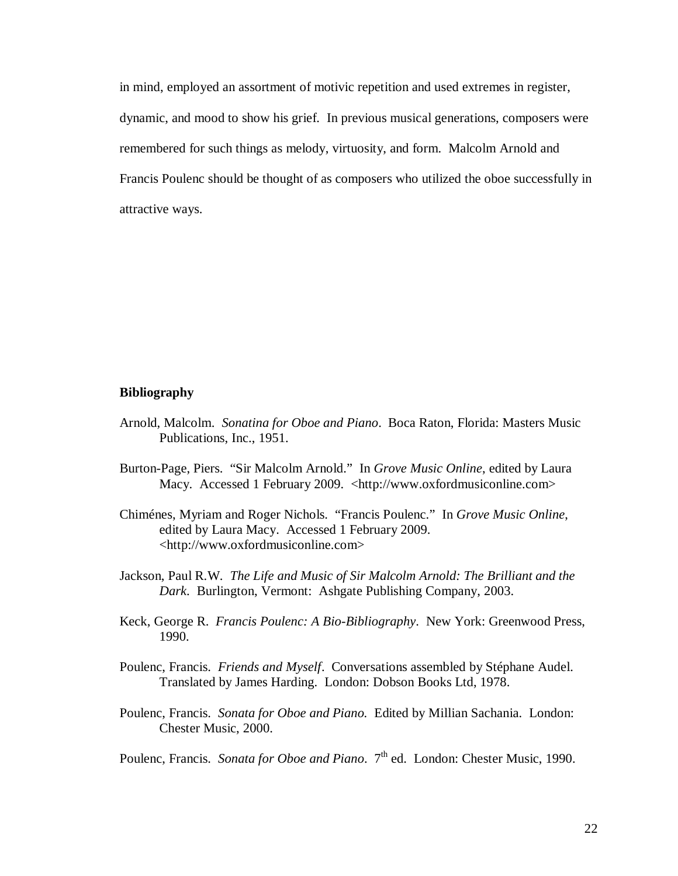in mind, employed an assortment of motivic repetition and used extremes in register, dynamic, and mood to show his grief. In previous musical generations, composers were remembered for such things as melody, virtuosity, and form. Malcolm Arnold and Francis Poulenc should be thought of as composers who utilized the oboe successfully in attractive ways.

### **Bibliography**

- Arnold, Malcolm. *Sonatina for Oboe and Piano*. Boca Raton, Florida: Masters Music Publications, Inc., 1951.
- Burton-Page, Piers. "Sir Malcolm Arnold." In *Grove Music Online*, edited by Laura Macy. Accessed 1 February 2009. <http://www.oxfordmusiconline.com>
- Chiménes, Myriam and Roger Nichols. "Francis Poulenc." In *Grove Music Online*, edited by Laura Macy. Accessed 1 February 2009. <http://www.oxfordmusiconline.com>
- Jackson, Paul R.W. *The Life and Music of Sir Malcolm Arnold: The Brilliant and the Dark*. Burlington, Vermont: Ashgate Publishing Company, 2003.
- Keck, George R. *Francis Poulenc: A Bio-Bibliography*. New York: Greenwood Press, 1990.
- Poulenc, Francis. *Friends and Myself*. Conversations assembled by Stéphane Audel. Translated by James Harding. London: Dobson Books Ltd, 1978.
- Poulenc, Francis. *Sonata for Oboe and Piano.* Edited by Millian Sachania. London: Chester Music, 2000.

Poulenc, Francis. *Sonata for Oboe and Piano.* 7<sup>th</sup> ed. London: Chester Music, 1990.